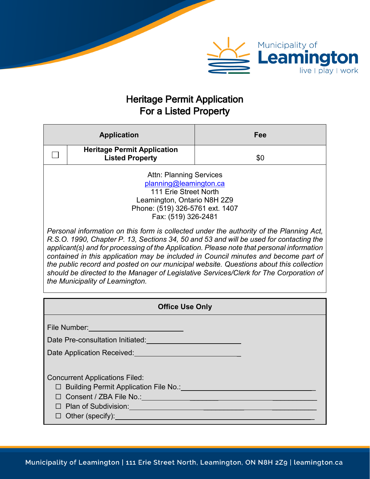

# Heritage Permit Application For a Listed Property

| <b>Application</b>                                                                                                                                                                                                                                                                                                                                                                                                                                                                                                                                                                                                                                                                                                                                                         |                                                                                                                                                                                       | Fee |
|----------------------------------------------------------------------------------------------------------------------------------------------------------------------------------------------------------------------------------------------------------------------------------------------------------------------------------------------------------------------------------------------------------------------------------------------------------------------------------------------------------------------------------------------------------------------------------------------------------------------------------------------------------------------------------------------------------------------------------------------------------------------------|---------------------------------------------------------------------------------------------------------------------------------------------------------------------------------------|-----|
|                                                                                                                                                                                                                                                                                                                                                                                                                                                                                                                                                                                                                                                                                                                                                                            | <b>Heritage Permit Application</b><br><b>Listed Property</b>                                                                                                                          | \$0 |
| <b>Attn: Planning Services</b><br>planning@leamington.ca<br>111 Erie Street North<br>Leamington, Ontario N8H 2Z9<br>Phone: (519) 326-5761 ext. 1407<br>Fax: (519) 326-2481<br>Personal information on this form is collected under the authority of the Planning Act,<br>R.S.O. 1990, Chapter P. 13, Sections 34, 50 and 53 and will be used for contacting the<br>applicant(s) and for processing of the Application. Please note that personal information<br>contained in this application may be included in Council minutes and become part of<br>the public record and posted on our municipal website. Questions about this collection<br>should be directed to the Manager of Legislative Services/Clerk for The Corporation of<br>the Municipality of Leamington. |                                                                                                                                                                                       |     |
|                                                                                                                                                                                                                                                                                                                                                                                                                                                                                                                                                                                                                                                                                                                                                                            | <b>Office Use Only</b>                                                                                                                                                                |     |
|                                                                                                                                                                                                                                                                                                                                                                                                                                                                                                                                                                                                                                                                                                                                                                            | File Number: ______________________________<br>Date Pre-consultation Initiated: Date Pre-consultation Initiated:<br>Date Application Received: Network and Case Application Received: |     |
| <b>Concurrent Applications Filed:</b><br>□ Building Permit Application File No.: <u>2008 - 2008 - 2009 - 2009 - 2009</u><br>D Plan of Subdivision: Web and the Contract of Subdivision:<br>$\Box$ Other (specify): $\Box$                                                                                                                                                                                                                                                                                                                                                                                                                                                                                                                                                  |                                                                                                                                                                                       |     |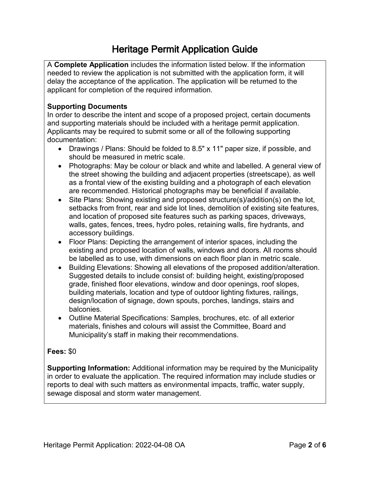# Heritage Permit Application Guide

A **Complete Application** includes the information listed below. If the information needed to review the application is not submitted with the application form, it will delay the acceptance of the application. The application will be returned to the applicant for completion of the required information.

### **Supporting Documents**

In order to describe the intent and scope of a proposed project, certain documents and supporting materials should be included with a heritage permit application. Applicants may be required to submit some or all of the following supporting documentation:

- Drawings / Plans: Should be folded to 8.5" x 11" paper size, if possible, and should be measured in metric scale.
- Photographs: May be colour or black and white and labelled. A general view of the street showing the building and adjacent properties (streetscape), as well as a frontal view of the existing building and a photograph of each elevation are recommended. Historical photographs may be beneficial if available.
- Site Plans: Showing existing and proposed structure(s)/addition(s) on the lot, setbacks from front, rear and side lot lines, demolition of existing site features, and location of proposed site features such as parking spaces, driveways, walls, gates, fences, trees, hydro poles, retaining walls, fire hydrants, and accessory buildings.
- Floor Plans: Depicting the arrangement of interior spaces, including the existing and proposed location of walls, windows and doors. All rooms should be labelled as to use, with dimensions on each floor plan in metric scale.
- Building Elevations: Showing all elevations of the proposed addition/alteration. Suggested details to include consist of: building height, existing/proposed grade, finished floor elevations, window and door openings, roof slopes, building materials, location and type of outdoor lighting fixtures, railings, design/location of signage, down spouts, porches, landings, stairs and balconies.
- Outline Material Specifications: Samples, brochures, etc. of all exterior materials, finishes and colours will assist the Committee, Board and Municipality's staff in making their recommendations.

#### **Fees:** \$0

**Supporting Information:** Additional information may be required by the Municipality in order to evaluate the application. The required information may include studies or reports to deal with such matters as environmental impacts, traffic, water supply, sewage disposal and storm water management.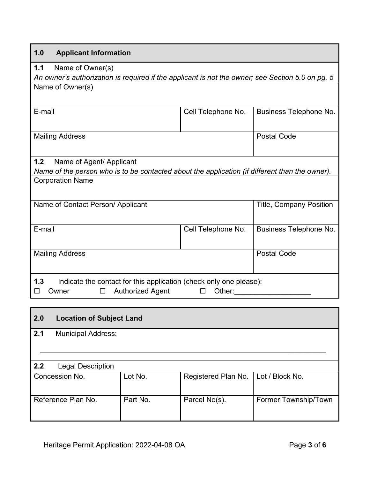### **1.0 Applicant Information**

**1.1** Name of Owner(s)

*An owner's authorization is required if the applicant is not the owner; see Section 5.0 on pg. 5* Name of Owner(s)

| E-mail                 | Cell Telephone No. | Business Telephone No. |
|------------------------|--------------------|------------------------|
| <b>Mailing Address</b> |                    | <b>Postal Code</b>     |

## **1.2** Name of Agent/ Applicant

*Name of the person who is to be contacted about the application (if different than the owner).* Corporation Name

| Name of Contact Person/ Applicant                                                                             |                    | <b>Title, Company Position</b> |
|---------------------------------------------------------------------------------------------------------------|--------------------|--------------------------------|
| E-mail                                                                                                        | Cell Telephone No. | Business Telephone No.         |
| <b>Mailing Address</b>                                                                                        |                    | <b>Postal Code</b>             |
| 1.3<br>Indicate the contact for this application (check only one please):<br><b>Authorized Agent</b><br>Owner | Other:             |                                |

## **2.0 Location of Subject Land**

| 2.1<br><b>Municipal Address:</b> |          |                     |                      |
|----------------------------------|----------|---------------------|----------------------|
|                                  |          |                     |                      |
|                                  |          |                     |                      |
|                                  |          |                     |                      |
| 2.2<br><b>Legal Description</b>  |          |                     |                      |
| Concession No.                   | Lot No.  | Registered Plan No. | Lot / Block No.      |
|                                  |          |                     |                      |
|                                  |          |                     |                      |
| Reference Plan No.               | Part No. | Parcel No(s).       | Former Township/Town |
|                                  |          |                     |                      |
|                                  |          |                     |                      |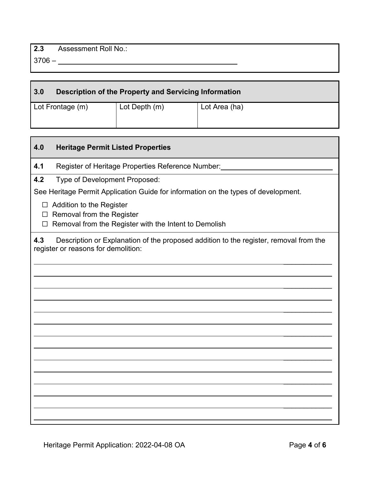3706 – \_

| 3.0              | Description of the Property and Servicing Information |               |
|------------------|-------------------------------------------------------|---------------|
| Lot Frontage (m) | Lot Depth (m)                                         | Lot Area (ha) |

| 4.0         | <b>Heritage Permit Listed Properties</b>                                                                                     |
|-------------|------------------------------------------------------------------------------------------------------------------------------|
| 4.1         | Register of Heritage Properties Reference Number:                                                                            |
| 4.2         | Type of Development Proposed:                                                                                                |
|             | See Heritage Permit Application Guide for information on the types of development.                                           |
| $\Box$<br>П | Addition to the Register<br>Removal from the Register<br>Removal from the Register with the Intent to Demolish               |
| 4.3         | Description or Explanation of the proposed addition to the register, removal from the<br>register or reasons for demolition: |
|             |                                                                                                                              |
|             |                                                                                                                              |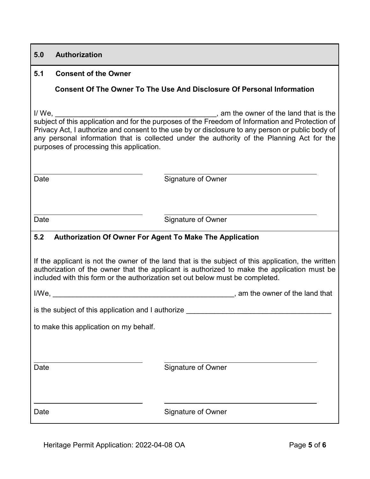#### **5.0 Authorization**

#### **5.1 Consent of the Owner**

#### **Consent Of The Owner To The Use And Disclosure Of Personal Information**

I/ We, **I/** We, subject of this application and for the purposes of the Freedom of Information and Protection of Privacy Act, I authorize and consent to the use by or disclosure to any person or public body of any personal information that is collected under the authority of the Planning Act for the purposes of processing this application.

 $\ddot{\phantom{a}}$ 

 $\ddot{\phantom{a}}$ 

Date **Signature of Owner** 

Date **Signature of Owner** 

#### **5.2 Authorization Of Owner For Agent To Make The Application**

If the applicant is not the owner of the land that is the subject of this application, the written authorization of the owner that the applicant is authorized to make the application must be included with this form or the authorization set out below must be completed.

I/We, \_\_\_\_\_\_\_\_\_\_\_\_\_\_\_\_\_\_\_\_\_\_\_\_\_\_\_\_\_\_\_\_\_\_\_\_\_\_\_\_\_\_\_\_\_, am the owner of the land that

is the subject of this application and I authorize

to make this application on my behalf.

Date **Signature of Owner** 

 $\ddot{\phantom{a}}$ 

 $\ddot{\phantom{a}}$ 

Date **Signature of Owner**